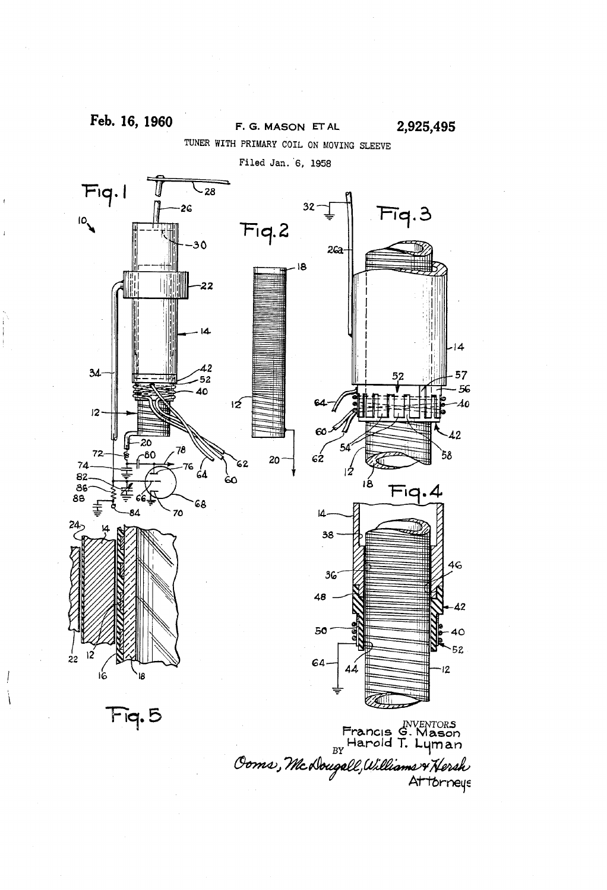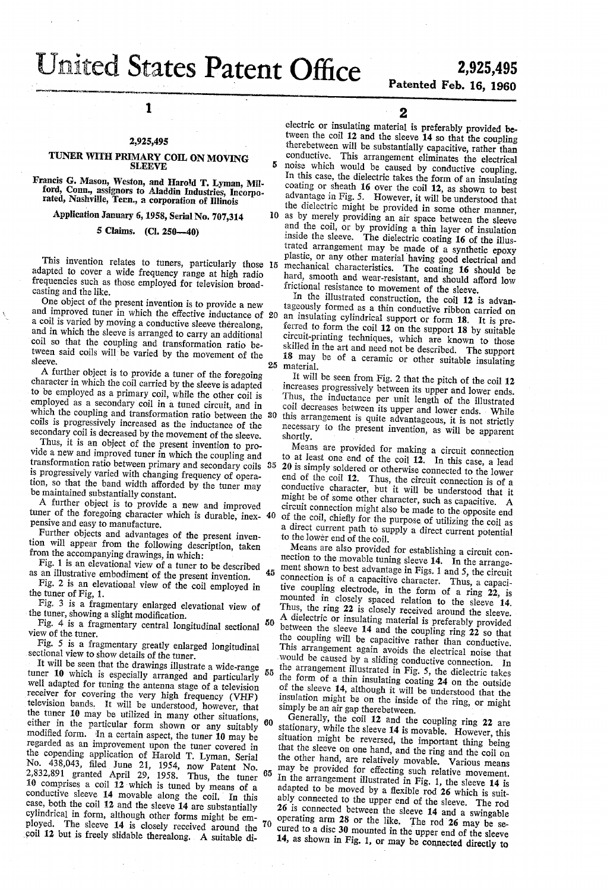# States Patent Office 2,925,495

## 2,925,495<br>Patented Feb. 16, 1960

### 2,925,495 ,

1

#### TUNER WITH PRIMARY COIL ON MOVING SLEEVE

Francis G. Mason, Weston, and Harold T. Lyman, Mil ford, Conn., assignors to Aladdin Industries, Incorpo rated, Nashville, Tenn., a corporation of Illinois

Application January 6, 1958, Serial No. 707,314

5 Claims. (Cl. 250-40)

This invention relates to tuners, particularly those 15 adapted to cover a wide frequency range at high radio frequencies such as those employed for television broad casting and the like.

One object of the present invention is to provide a new a coil is varied by moving a conductive sleeve therealong, and in which the sleeve is arranged to carry an additional coil so that the coupling and transformation ratio be tween said coils will be varied by the movement of the sleeve. and improved tuner in which the effective inductance of 20

A further object is to provide a tuner of the foregoing character in which the coil carried by the sleeve is adapted to be employed as a primary coil, while the other coil is employed as a secondary coil in a tuned circuit, and in which the coupling and transformation ratio between the 30 coils is progressively increased as the inductance of the secondary coil is decreased by the movement of the sleeve.

Thus, it is an object of the present invention to pro vide a new and improved tuner in which the coupling and transformation ratio between primary and secondary coils 35 is progressively varied with changing frequency of opera tion, so that the band width afforded by the tuner may be maintained substantially constant.

A further object is to provide a new and improved tuner of the foregoing character which is durable, inex-40 pensive and easy to manufacture.

Further objects and advantages of the present inven tion will appear from the following description, taken from the accompanying drawings, in which:

Fig. l is an elevational view of a tuner to be described as an illustrative embodiment of the present invention. 45

Fig. 2 is an elevational view of the coil employed in the tuner of Fig, 1.

50

Fig. 3 is a fragmentary enlarged elevational view of the tuner, showing a slight modification.

Fig. 4 is a fragmentary central longitudinal sectional view of the tuner.

Fig. 5 is a fragmentary greatly enlarged longitudinal sectional view to show details of the tuner.

It will be seen that the drawings illustrate a wide-range tuner 10 which is especially arranged and particularly well adapted for tuning the antenna stage of a television receiver for covering the very high frequency (VHF) television bands, It will be understood, however, that the tuner 10 may be utilized in many other situations, either in the particular form shown or any suitably modified form. 'In a certain aspect, the tuner 10 may be regarded as an improvement upon the tuner covered in the copending application of Harold T. Lyman, Serial  $N_0$ . 438,043, filed June 21, 1954, now Patent No.  $2,832,831$  granted April 29, 1958. Thus, the tuner  $10^{\circ}$  comprises a coil 12 which is tuned by means of a conductive sleeve 14 movable along the coil. In this case, both the coil 12 and the sleeve 14 are substantially cylindrical in form, although other forms might be em ployed. The sleeve 14 is closely received around the 70 coil 12 but is freely slidable therealong. A suitable di-55 65

2

electric or insulating material is preferably provided be tween the coil 12 and the sleeve 14 so that the coupling therebetween will be substantially capacitive, rather than conductive. This arrangement eliminates the electrical noise which would be caused by conductive coupling. In this case, the dielectric takes the form of an insulating coating or sheath 16 over the coil 12, as shown to best advantage in Fig. 5. However, it will be understood that the dielectric might be provided in some other manner,

the different might be provided in some other manner, the sleeve as by merely providing an air space between the sleeve and the coil, or by providing a thin layer of insulation inside the sleeve. The dielectric coating 16 of the illustrated arrangement may be made of a synthetic epoxy plastic, or any other material having good electrical and mechanical characteristics. The coating 16 should be hard, smooth and wear-resistant, and should afford low frictional resistance to movement of the sleeve.

25 material. In the illustrated construction, the coil 12 is advantageously formed as a thin conductive ribbon carried on an insulating cylindrical support or form 18. It is preferred to form the coil 12 on the support 18 by suitable circuit-printing techniques, which are known to those skilled in the art and need not be described. The support 18 may be of a ceramic or other suitable insulating

It will be seen from Fig. 2 that the pitch of the coil 12 increases progressively between its upper and lower ends. Thus, the inductance per unit length of the illustrated coil decreases between its upper and lower ends. While this arrangement is quite advantageous, it is not strictly necessary to the present invention, as will be apparent shortly.

Means are provided for making a circuit connection to at least one end of the coil 12. In this case, a lead 20 is simply soldered or otherwise connected to the lower end of the coil 12. Thus, the circuit connection is of a conductive character, but it will be understood that it might be of some other character, such as capacitive. A circuit connection might also be made to the opposite end a direct current path to supply a direct current potential to the lower end of the coil.

would be caused by a sliding conductive connection. In Means are also provided for establishing a circuit con nection to the movable tuning sleeve 14. In the arrange ment shown to best advantage in Figs. 1 and 5, the circuit connection is of a capacitive character. Thus, a capacitive coupling electrode, in the form of a ring 22, is mounted in closely spaced relation to the sleeve 14. Thus, the ring 22 is closely received around the sleeve. A dielectric or insulating material is preferably provided between the sleeve 14 and the coupling ring 22 so that the coupling will be capacitive rather than conductive. This arrangement again avoids the electrical noise that the arrangement illustrated in Fig. 5, the dielectric takes the form of a thin insulating coating 24 on the outside of the sleeve 14, although it will be understood that the insulation might be on the inside of the ring, or might simply be an air gap therebetween.

Generally, the coil 12 and the coupling ring 22 are stationary, while the sleeve 14 is movable. However, this situation might be reversed, the important thing being that the sleeve on one hand, and the ring and the coil on the other hand, are relatively movable. Various means may be provided for effecting such relative movement. In the arrangement illustrated in Fig. 1, the sleeve 14 is adapted to be moved by a flexible rod 26 which is suitably connected to the upper end of the sleeve. The rod 26 is connected between the sleeve 14 and a swingable operating arm 28 or the like. The rod'26 may be se cured to a disc 30 mounted in the upper end of the sleeve 14, as shown in Fig. I, or may be connected directly to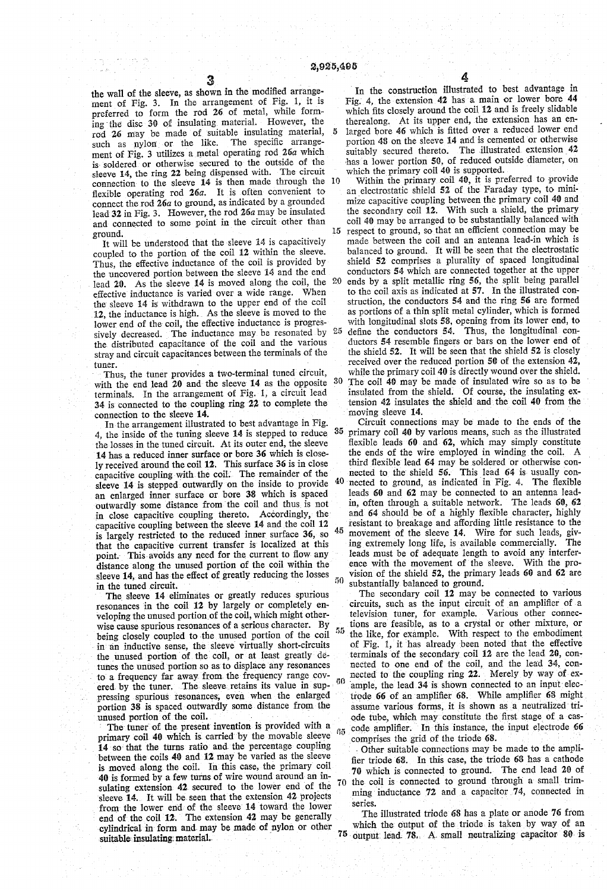the wall of the sleeve, as shown in the modified arrangement of Fig. 3. In the arrangement of Fig. 1, it is preferred to form the rod 26 of metal, while form ing'the' disc 39 of insulating material. However, the rod '26 may be made of suitable insulating material, 5 such as nylon or the like. The specific arrangement of Pig. 3 utilizes a metal operating rod 26a which is' soldered or otherwise secured to the outside of the sleeve 14, the ring 22 being dispensed with. The circuit connection' to the sleeve 14 is then made through the 10 flexible operating rod  $26a$ . It is often convenient to connect the rod 26a to ground, as indicated by a grounded lead 32 in Fig. 3. However, the rod 26a may be insulated and connected to some point in the circuit other than ground.

It Will be understood that the sleeve 14 is capacitively coupled to the portion of the coil 12 within the sleeve. Thus, the effective inductance of the coil is provided by the uncovered portion between the sleeve 14 and the end lead 20. As the sleeve 14 is moved along the coil, the 20 effective inductance is varied over a wide range. When the sleeve 14 is withdrawn to the upper end of the coil 12, the inductance is high. As the sleeve is moved to the lower end of the coil, the effective inductance is progres-<br>simily document as the inductance may be resonated by 25 sively decreased. The inductance may be resonated by the distributed capacitance of the coil and the various stray and circuit capacitances between the terminals of the

tuner.<br>Thus, the tuner provides a two-terminal tuned circuit, with the end lead  $20$  and the sleeve  $14$  as the opposite  $30$ terminals. In the arrangement of Fig. l, a circuit lead 34 is connected to the coupling ring 22 to complete the connection to the sleeve 14.

In'the arrangement illustrated to best advantage in Fig. 4, the inside of the tuning sleeve 14 is stepped to reduce the losses in the tuned circuit. At its outer end, the sleeve 14 has a reduced inner surface or bore 36 which is closely received around the coil 12. This surface 36 is in close capacitive coupling with the coil. The remainder of the sleeve 14 is stepped outwardly on the inside to provide an enlarged inner surface or bore 38 which is spaced outwardly some distance from'the coil and thus. is not in close capacitive coupling thereto. Accordingly, the capacitive coupling between the sleeve 14 and the coil 12 is largely restricted to the reduced inner surface 36, so that the capacitive current transfer is localized at this point. This avoids any need for the current to flow any distance along the unused portion of the coil within the sleeve 14, and has the effect of greatly reducing the losses<br>in the tuned circuit.<br>The sleeve 14 eliminates or greatly reduces spurious

resonances in the coil 12 by largely or completely enveloping the unused portion of the coil, which might otherwise cause spurious resonances of a serious character. By being closely coupled to the unused portion of the coil in an inductive sense, the sleeve virtually short-circuits the unused portion of the coil, or at least greatly detunes the unused portion so as to displace any resonances to a frequency far away from the frequency range covered by the tuner. The sleeve retains its value in suppressing spurious resonances, even when the enlarged portion 38 is spaced outwardly some distance from the unused portion of the coil. 60

The tuner of the present invention is provided with a  $65$ primary coil 40 which is carried by the movable sleeve 14 so- that the turns ratio and, the percentage coupling between the coils 40 and 12. may be varied as the sleeve is moved along. the coil. In this case, the primary coil 40 is formed by a few turns of wire wound around an in sulating extension 42. secured to the lower end of the sleeve 14. It will be seen that the extension 42 projects from the lower end of the sleeve' 14 toward the lower end of the coil 12. The extension 42 may be generally cylindrical in form and may be made of nylon or other suitable insulating material.

In the construction illustrated to best advantage in Fig. 4, the extension 42 has a main or lower bore 44 which fits closely around the coil 12 and is freely slidable therealong. At its upper end, the extension has an en larged bore 46 which is fitted over a reduced lower end portion 48 on the sleeve 14 and is cemented or otherwise suitably secured thereto. The illustrated extension  $42$  has a lower portion  $50$ , of reduced outside diameter, on mas a fower portion  $\infty$ , or reduced outside diameter.

15 Within the primary coil 40, it is preferred to provide an electrostatic shield 52 of the Faraday type, to mini mize capacitive coupling between the primary coil 40 and the secondary coil 12. With such a shield, the primary coil 40 may be arranged to be substantially balanced with respect to ground, so that an efficient connection may be made between the coil and an antenna lead-in which is balanced to ground. It will be seen that the electrostatic shield 52 comprises a plurality of spaced longitudinal conductors 54 which are connected together at the upper ends by a split metallic ring 56, the split being parallel to the coil axis as indicated at 57. In the illustrated construction, the conductors 54 and the ring 56 are formed as portions of a thin split metal cylinder, which is formed with longitudinal slots 58, opening from its lower end, to define the conductors 54. Thus, the longitudinal conductors 54 resemble fingers or bars on the lower end of the shield 52. It will be seen that the shield 52 is closely received over the reduced portion 50 of the extension 42, while the primary coil 40 is directly wound over the shield.

The coil 40 may be made of insulated wire so as to be insulated from the shield. Of course, the insulating extension 42 insulates the shield and the coil 40 from the moving sleeve 14.

Circuit connections may be made to the ends of the 35 primary coil 40 by various means, such as the illustrated flexible leads 60 and 62, which may simply constitute the ends of the wire employed in winding the coil. A third flexible lead  $64$  may be soldered or otherwise connected to the shield  $56$ . This lead  $64$  is usually connected to ground, as indicated in Fig. 4. The flexible 40 leads 60 and 62 may be connected to an antenna lead in, often through a suitable network. The leads 60, 62 and 64 should be of a highly flexible character, highly resistant to breakage and affording little resistance to the 45 movement of the sleeve 14. Wire for such leads, giv ing extremely long life, is available commercially. The leads must be of adequate length to avoid any interfer ence with the movement of the sleeve. With the pro vision of the shield 52, the primary leads 60 and 62 are 50 substantially balanced to ground.

The secondary coil 12 may be connected to various circuits, such as the input circuit of an amplifier of a television tuner, for example. Various other connec tions are feasible, as to a crystal or other mixture, or the like, for example. With respect to the embodiment of Fig. 1, it has already been noted that the effective terminals of the secondary coil 12 are the lead 20, con nected to one end of the coil, and the lead 34, connected to the coupling ring 22. Merely by way of example, the lead 34 is shown connected to an input electrode 66 of an amplifier 68. While amplifier 68 might assume various forms, it is shown as a neutralized triode tube, which may constitute the first stage of a cascode amplifier. In this instance, the input electrode 66 comprises the grid of the triode 68.

I Other suitable connections may be made to the amplifier triode 68. In this case, the triode 68 has a cathode 70 which is connected to ground. The end lead 20 of 70 the coil is connected to ground through a small trimming inductance  $72$  and a capacitor  $74$ , connected in series.

75 output: lead. 78.. A. small neutralizing capacitor 81}- is The illustrated triode 68 has a plate or anode 76 from which the output of the triode is taken by way of an

4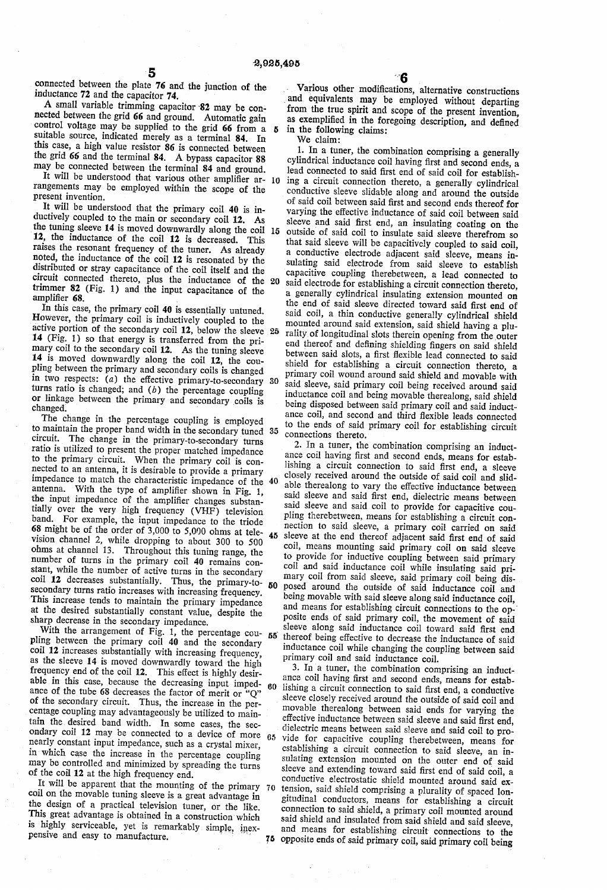connected between the plate 76 and the junction of the inductance 72 and the capacitor 74.

A small variable trimming capacitor '82 may be con nected between the grid 66 and ground. Automatic gain control voltage may be supplied to the grid 66 from a  $\boldsymbol{\kappa}$ suitable source, indicated merely as a terminal 84. In this case, a high value resistor 86 is connected between the grid 66 and the terminal 84. A bypass capacitor 88 may be connected between the terminal 84 and ground.

rangements may be employed within the scope of the present invention. It will be understood that various other amplifier ar- 10

It will be understood that the primary coil 40 is in ductively coupled to the main or secondary coil 12. As the tuning sleeve 14 is moved downwardly along the coil 15 12, the inductance of the coil 12 is decreased. This raises the resonant frequency of the tuner. As already noted, the inductance of the coil 12 is resonated by the distributed or stray capacitance of the coil itself and the circuit connected thereto, plus the inductance of the 20 trimmer 82 (Fig. 1) and the input capacitance of the amplifier 68

In this case, the primary coil 40 is essentially untuned. However, the primary coil is inductively coupled to the active portion of the secondary coil 12, below the sleeve 25 14 (Fig. 1) so that energy is transferred from the pri mary coil to the secondary coil 12. As the tuning sleeve 14 is moved downwardly along the coil 12, the coupling between the primary and secondary coils is changed in two respects:  $(a)$  the effective primary-to-secondary 30 turns ratio is changed; and  $(b)$  the percentage coupling or linkage between the primary and secondary coils is changed.

The change in the percentage coupling is employed to maintain the proper band width in the secondary tuned circuit. The change in'the primary-to-secondary turns ratio is utilized to present the proper matched impedance to the primary circuit. When the primary coil is con nected to an antenna, it is desirable to provide a primary impedance to match the characteristic impedance of the antenna. With the type of amplifier shown in Fig. 1, the input impedance of the amplifier changes substantially over the very high frequency (VHF) television hand. For example, the input impedance to the triode **the might be of the order of 3,000 to 5,000 ohms at tele-**  $45$ <br>vision channel 2, while drapning to charge 200 to 500. vision channel 2, while dropping to about 300 to 500 ohms at channel 13. Throughout this tuning range, the number of turns in the primary coil 40 remains constant, while the number of active turns in the secondary coil 12 decreases substantially. Thus, the primary-to-  $50$ secondary turns ratio increases with increasing frequency. This increase tends to maintain the primary impedance at the desired substantially constant value, despite the sharp decrease in the secondary impedance.<br>With the arrangement of Fig. 1, the percentage cou-

pling between the primary coil  $\overline{40}$  and the secondary coil 12 increases substantially with increasing frequency, as the sleeve 14 is moved downwardly toward the high frequency end of the coil 12. This effect is highly desirable in this case, because the decreasing input impedance of the tube 68 decreases the factor of merit or " $Q$ " of the secondary circuit. Thus, the increase in the per centage coupling may advantageously be utilized to main tain the desired band width. In some cases, the sec ondary coil 12 may be connected to a device of more nearly constant input impedance, such as a crystal mixer, in which case the increase in the percentage coupling may be controlled and minimized by spreading the turns of the coil 12 at the high frequency end.  $60$ 65

It will be apparent that the mounting of the primary 70 coil on the movable tuning sleeve is a great advantage in the design of a practical television tuner, or the like. This great advantage is obtained in a construction which is highly serviceable, yet is remarkably simple, inex pensive and easy to manufacture.

Various other modifications, alternative constructions 'and equivalents may be employed without departing from the true spirit and scope of the present invention, as exemplified in the foregoing description, and defined in the following claims:

We claim:

1. In a tuner, the combination comprising a generally cylindrical inductance coil having first and second ends, a lead connected to said first end of said coil for establishing a circuit connection thereto, a generally cylindrical conductive sleeve slidable along and around the outside of said coil between said first and second ends thereof for varying the effective inductance of said coil between said sleeve and said first end, an insulating coating on the outside of said coil to insulate said sleeve therefrom so that said sleeve will be capacitively coupled to said coil. a conductive electrode adjacent said sleeve, means insulating said electrode from said sleeve to establish capacitive coupling therebetween, a lead connected to said electrode for establishing a circuit connection thereto, a generally cylindrical insulating extension mounted on the end of said sleeve directed toward said first end of said coil, a thin conductive generally cylindrical shield mounted around said extension, said shield having a plu rality of longitudinal slots therein opening from the outer end thereof and defining shielding fingers on said shield between said slots, a first flexible lead connected to said shield for establishing a circuit connection thereto, a primary coil wound around said shield and movable with said sleeve, said primary coil being received around said inductance coil and being movable therealong, said shield ance coil, and second and third flexible leads connected to the ends of said primary coil for establishing circuit connections thereto.<br>2. In a tuner, the combination comprising an induct-

ance coil having first and second ends, means for establishing a circuit connection to said first end, a sleeve closely received around the outside of said coil and slid able therealong to vary the effective inductance between said sleeve and said first end, dielectric means between said sleeve and said coil to provide for capacitive cou pling therebetween, means for establishing a circuit con nection to said sleeve, a primary coil carried on said sleeve at the end thereof adjacent said first end of said coil, means mounting said primary coil on said sleeve to provide for inductive coupling between said primary coil and said inductance coil while insulating said pri mary coil from said sleeve, said primary coil being dis posed around the outside of said inductance coil and being movable with said sleeve along said inductance coil, and means for establishing circuit connections to the opposite ends of said primary coil, the movement of said sleeve along said inductance coil toward said first end thereof being effective to decrease the inductance of said inductance coil while changing the coupling between said primary coil and said inductance coil.

3. In a tuner, the combination comprising an induct ance coil having first and second ends, means for establishing a circuit connection to said first end, a conductive sleeve closely received around the outside of said coil and movable therealong between said ends for varying the effective inductance between said sleeve and said first end, dielectric means between said sleeve and said coil to pro vide for capacitive coupling therebetween, means for establishing a circuit connection to said sleeve, an in sulating extension mounted on the outer end of said sleeve and extending toward said first end of said coil, a conductive electrostatic shield mounted around said ex tension, said shield comprising a plurality of spaced lon~ gitudinal conductors, means for establishing a circuit connection to said shield, a primary coil mounted around said shield and insulated from said shield and said sleeve, and means for establishing circuit connections to the opposite ends of said primary coil, said primary coil being